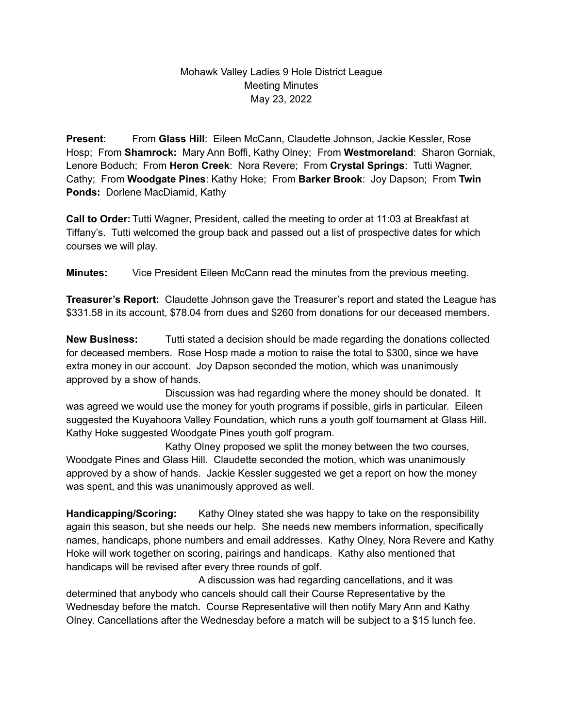## Mohawk Valley Ladies 9 Hole District League Meeting Minutes May 23, 2022

**Present**: From **Glass Hill**: Eileen McCann, Claudette Johnson, Jackie Kessler, Rose Hosp; From **Shamrock:** Mary Ann Boffi, Kathy Olney; From **Westmoreland**: Sharon Gorniak, Lenore Boduch; From **Heron Creek**: Nora Revere; From **Crystal Springs**: Tutti Wagner, Cathy; From **Woodgate Pines**: Kathy Hoke; From **Barker Brook**: Joy Dapson; From **Twin Ponds:** Dorlene MacDiamid, Kathy

**Call to Order:** Tutti Wagner, President, called the meeting to order at 11:03 at Breakfast at Tiffany's. Tutti welcomed the group back and passed out a list of prospective dates for which courses we will play.

**Minutes:** Vice President Eileen McCann read the minutes from the previous meeting.

**Treasurer's Report:** Claudette Johnson gave the Treasurer's report and stated the League has \$331.58 in its account, \$78.04 from dues and \$260 from donations for our deceased members.

**New Business:** Tutti stated a decision should be made regarding the donations collected for deceased members. Rose Hosp made a motion to raise the total to \$300, since we have extra money in our account. Joy Dapson seconded the motion, which was unanimously approved by a show of hands.

Discussion was had regarding where the money should be donated. It was agreed we would use the money for youth programs if possible, girls in particular. Eileen suggested the Kuyahoora Valley Foundation, which runs a youth golf tournament at Glass Hill. Kathy Hoke suggested Woodgate Pines youth golf program.

Kathy Olney proposed we split the money between the two courses, Woodgate Pines and Glass Hill. Claudette seconded the motion, which was unanimously approved by a show of hands. Jackie Kessler suggested we get a report on how the money was spent, and this was unanimously approved as well.

**Handicapping/Scoring:** Kathy Olney stated she was happy to take on the responsibility again this season, but she needs our help. She needs new members information, specifically names, handicaps, phone numbers and email addresses. Kathy Olney, Nora Revere and Kathy Hoke will work together on scoring, pairings and handicaps. Kathy also mentioned that handicaps will be revised after every three rounds of golf.

A discussion was had regarding cancellations, and it was determined that anybody who cancels should call their Course Representative by the Wednesday before the match. Course Representative will then notify Mary Ann and Kathy Olney. Cancellations after the Wednesday before a match will be subject to a \$15 lunch fee.